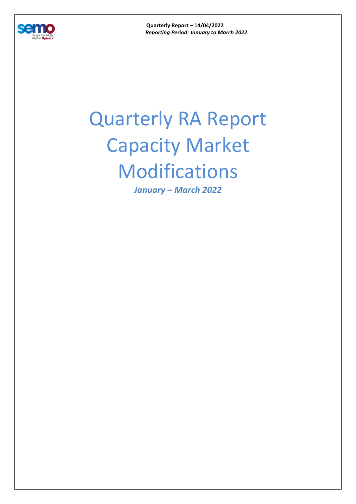

**Quarterly Report – 14/04/2022**  *Reporting Period: January to March 2022* 

## Quarterly RA Report Capacity Market Modifications

*January – March 2022*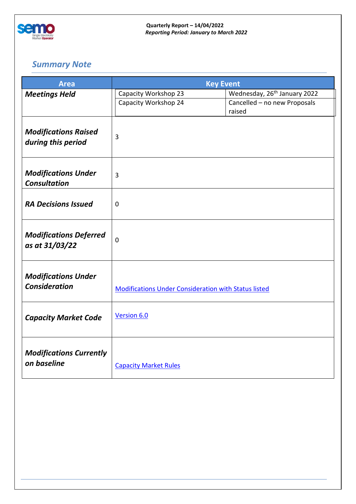

## *Summary Note*

| <b>Area</b>                                     | <b>Key Event</b>                                            |                                          |
|-------------------------------------------------|-------------------------------------------------------------|------------------------------------------|
| <b>Meetings Held</b>                            | Capacity Workshop 23                                        | Wednesday, 26 <sup>th</sup> January 2022 |
|                                                 | Capacity Workshop 24                                        | Cancelled - no new Proposals<br>raised   |
|                                                 |                                                             |                                          |
| <b>Modifications Raised</b>                     | 3                                                           |                                          |
| during this period                              |                                                             |                                          |
| <b>Modifications Under</b>                      |                                                             |                                          |
| <b>Consultation</b>                             | $\overline{3}$                                              |                                          |
| <b>RA Decisions Issued</b>                      | $\mathbf 0$                                                 |                                          |
|                                                 |                                                             |                                          |
|                                                 |                                                             |                                          |
| <b>Modifications Deferred</b><br>as at 31/03/22 | $\mathbf 0$                                                 |                                          |
|                                                 |                                                             |                                          |
| <b>Modifications Under</b>                      |                                                             |                                          |
| <b>Consideration</b>                            | <b>Modifications Under Consideration with Status listed</b> |                                          |
|                                                 |                                                             |                                          |
| <b>Capacity Market Code</b>                     | Version 6.0                                                 |                                          |
|                                                 |                                                             |                                          |
| <b>Modifications Currently</b>                  |                                                             |                                          |
| on baseline                                     | <b>Capacity Market Rules</b>                                |                                          |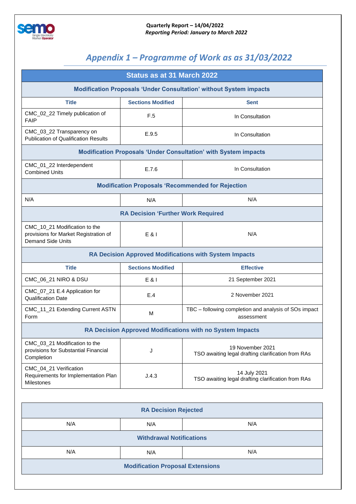

## *Appendix 1 – Programme of Work as as 31/03/2022*

| Status as at 31 March 2022                                                                         |                                           |                                                                        |  |  |  |
|----------------------------------------------------------------------------------------------------|-------------------------------------------|------------------------------------------------------------------------|--|--|--|
| <b>Modification Proposals 'Under Consultation' without System impacts</b>                          |                                           |                                                                        |  |  |  |
| <b>Title</b>                                                                                       | <b>Sections Modified</b>                  | <b>Sent</b>                                                            |  |  |  |
| CMC_02_22 Timely publication of<br><b>FAIP</b>                                                     | F.5                                       | In Consultation                                                        |  |  |  |
| CMC_03_22 Transparency on<br><b>Publication of Qualification Results</b>                           | E.9.5                                     | In Consultation                                                        |  |  |  |
| <b>Modification Proposals 'Under Consultation' with System impacts</b>                             |                                           |                                                                        |  |  |  |
| CMC_01_22 Interdependent<br><b>Combined Units</b>                                                  | E.7.6                                     | In Consultation                                                        |  |  |  |
| <b>Modification Proposals 'Recommended for Rejection</b>                                           |                                           |                                                                        |  |  |  |
| N/A                                                                                                | N/A                                       | N/A                                                                    |  |  |  |
|                                                                                                    | <b>RA Decision 'Further Work Required</b> |                                                                        |  |  |  |
| CMC_10_21 Modification to the<br>provisions for Market Registration of<br><b>Demand Side Units</b> | E & I                                     | N/A                                                                    |  |  |  |
|                                                                                                    |                                           | <b>RA Decision Approved Modifications with System Impacts</b>          |  |  |  |
| <b>Title</b>                                                                                       | <b>Sections Modified</b>                  | <b>Effective</b>                                                       |  |  |  |
| CMC_06_21 NIRO & DSU                                                                               | E & I                                     | 21 September 2021                                                      |  |  |  |
| CMC_07_21 E.4 Application for<br><b>Qualification Date</b>                                         | E.4                                       | 2 November 2021                                                        |  |  |  |
| CMC_11_21 Extending Current ASTN<br>Form                                                           | M                                         | TBC - following completion and analysis of SOs impact<br>assessment    |  |  |  |
| RA Decision Approved Modifications with no System Impacts                                          |                                           |                                                                        |  |  |  |
| CMC_03_21 Modification to the<br>provisions for Substantial Financial<br>Completion                | J                                         | 19 November 2021<br>TSO awaiting legal drafting clarification from RAs |  |  |  |
| CMC_04_21 Verification<br>Requirements for Implementation Plan<br><b>Milestones</b>                | J.4.3                                     | 14 July 2021<br>TSO awaiting legal drafting clarification from RAs     |  |  |  |

| <b>RA Decision Rejected</b>             |     |     |  |  |  |
|-----------------------------------------|-----|-----|--|--|--|
| N/A                                     | N/A | N/A |  |  |  |
| <b>Withdrawal Notifications</b>         |     |     |  |  |  |
| N/A                                     | N/A | N/A |  |  |  |
| <b>Modification Proposal Extensions</b> |     |     |  |  |  |